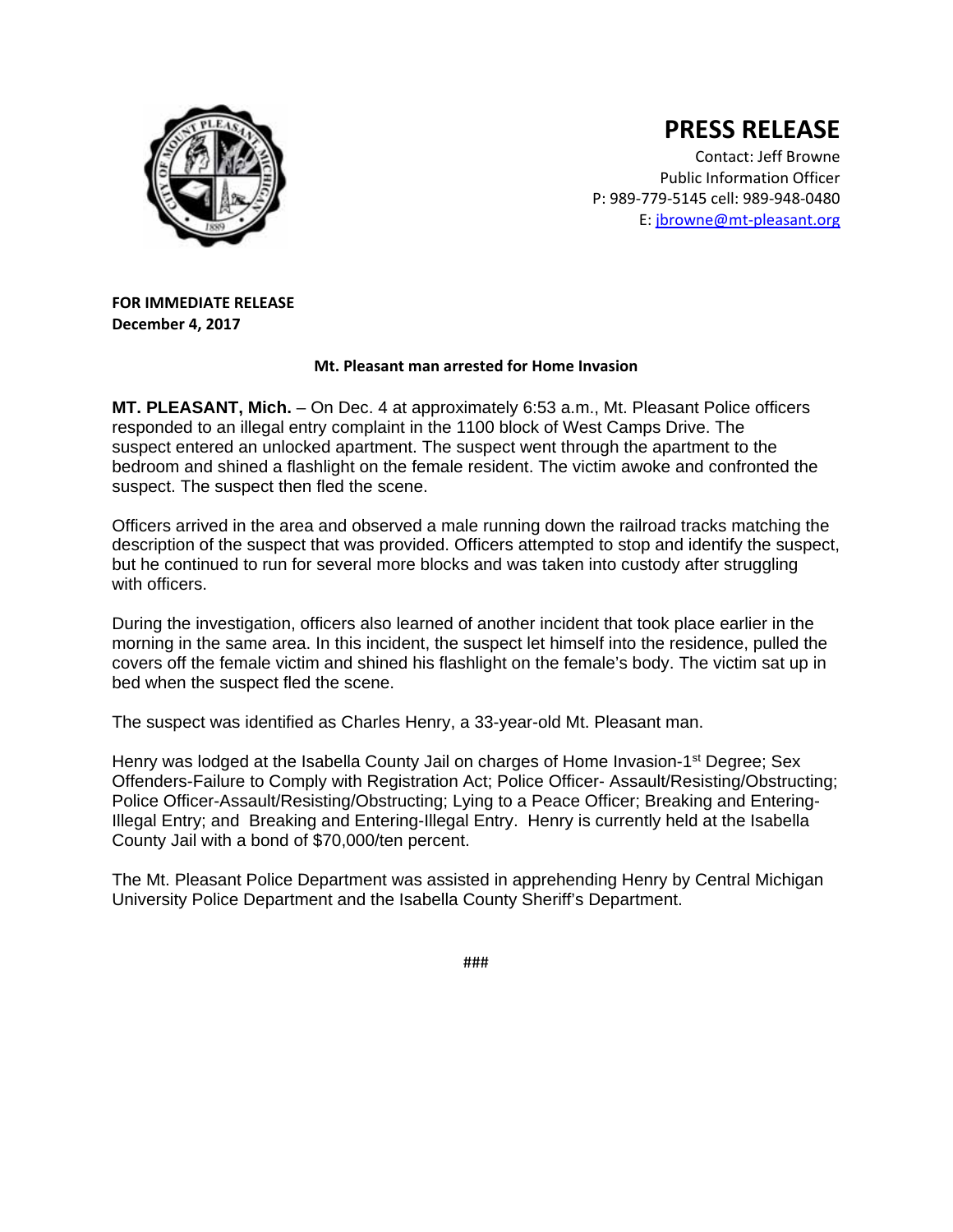

## **PRESS RELEASE**

Contact: Jeff Browne Public Information Officer P: 989‐779‐5145 cell: 989‐948‐0480 E: jbrowne@mt‐pleasant.org

**FOR IMMEDIATE RELEASE December 4, 2017**

## **Mt. Pleasant man arrested for Home Invasion**

**MT. PLEASANT, Mich.** – On Dec. 4 at approximately 6:53 a.m., Mt. Pleasant Police officers responded to an illegal entry complaint in the 1100 block of West Camps Drive. The suspect entered an unlocked apartment. The suspect went through the apartment to the bedroom and shined a flashlight on the female resident. The victim awoke and confronted the suspect. The suspect then fled the scene.

Officers arrived in the area and observed a male running down the railroad tracks matching the description of the suspect that was provided. Officers attempted to stop and identify the suspect, but he continued to run for several more blocks and was taken into custody after struggling with officers.

During the investigation, officers also learned of another incident that took place earlier in the morning in the same area. In this incident, the suspect let himself into the residence, pulled the covers off the female victim and shined his flashlight on the female's body. The victim sat up in bed when the suspect fled the scene.

The suspect was identified as Charles Henry, a 33-year-old Mt. Pleasant man.

Henry was lodged at the Isabella County Jail on charges of Home Invasion-1<sup>st</sup> Degree; Sex Offenders-Failure to Comply with Registration Act; Police Officer- Assault/Resisting/Obstructing; Police Officer-Assault/Resisting/Obstructing; Lying to a Peace Officer; Breaking and Entering-Illegal Entry; and Breaking and Entering-Illegal Entry. Henry is currently held at the Isabella County Jail with a bond of \$70,000/ten percent.

The Mt. Pleasant Police Department was assisted in apprehending Henry by Central Michigan University Police Department and the Isabella County Sheriff's Department.

###